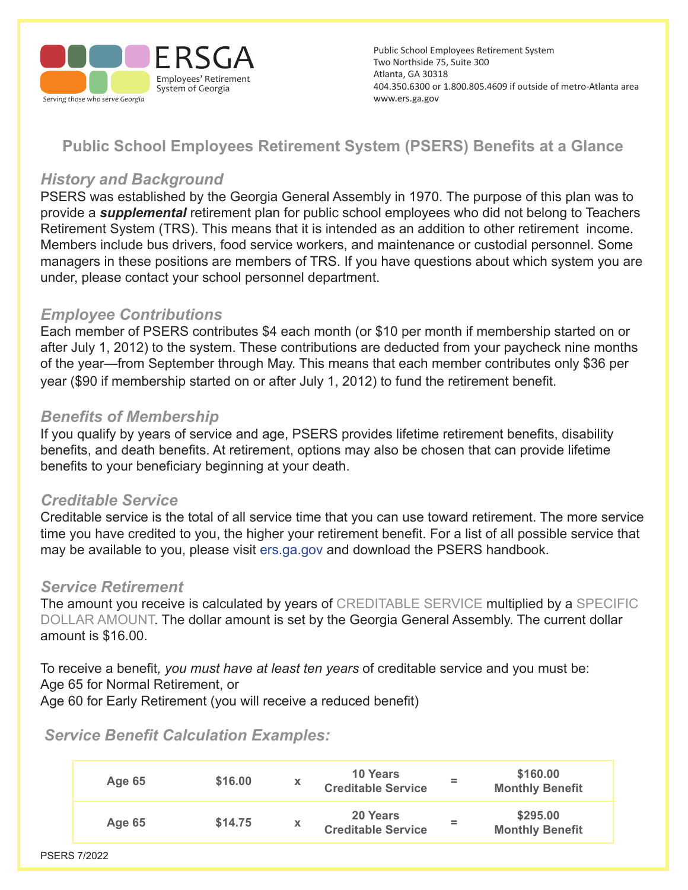

Public School Employees Retirement System Two Northside 75, Suite 300 Atlanta, GA 30318 404.350.6300 or 1.800.805.4609 if outside of metro-Atlanta area www.ers.ga.gov

# **Public School Employees Retirement System (PSERS) Benefits at a Glance**

# *History and Background*

PSERS was established by the Georgia General Assembly in 1970. The purpose of this plan was to provide a *supplemental* retirement plan for public school employees who did not belong to Teachers Retirement System (TRS). This means that it is intended as an addition to other retirement income. Members include bus drivers, food service workers, and maintenance or custodial personnel. Some managers in these positions are members of TRS. If you have questions about which system you are under, please contact your school personnel department.

## *Employee Contributions*

Each member of PSERS contributes \$4 each month (or \$10 per month if membership started on or after July 1, 2012) to the system. These contributions are deducted from your paycheck nine months of the year—from September through May. This means that each member contributes only \$36 per year (\$90 if membership started on or after July 1, 2012) to fund the retirement benefit.

## *Benefits of Membership*

If you qualify by years of service and age, PSERS provides lifetime retirement benefits, disability benefits, and death benefits. At retirement, options may also be chosen that can provide lifetime benefits to your beneficiary beginning at your death.

## *Creditable Service*

Creditable service is the total of all service time that you can use toward retirement. The more service time you have credited to you, the higher your retirement benefit. For a list of all possible service that may be available to you, please visit ers.ga.gov and download the PSERS handbook.

## *Service Retirement*

The amount you receive is calculated by years of CREDITABLE SERVICE multiplied by a SPECIFIC DOLLAR AMOUNT. The dollar amount is set by the Georgia General Assembly. The current dollar amount is \$16.00.

To receive a benefit*, you must have at least ten years* of creditable service and you must be: Age 65 for Normal Retirement, or

Age 60 for Early Retirement (you will receive a reduced benefit)

*Service Benefit Calculation Examples:*

| Age 65 | \$16.00 | X | <b>10 Years</b><br><b>Creditable Service</b> | $=$ | \$160.00<br><b>Monthly Benefit</b> |
|--------|---------|---|----------------------------------------------|-----|------------------------------------|
| Age 65 | \$14.75 | X | 20 Years<br><b>Creditable Service</b>        | =   | \$295.00<br><b>Monthly Benefit</b> |